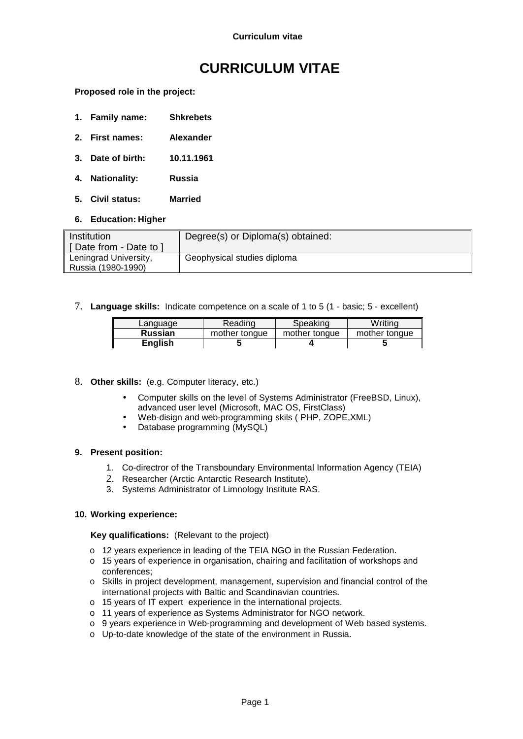# **CURRICULUM VITAE**

**Proposed role in the project:** 

- **1. Family name: Shkrebets**
- **2. First names: Alexander**
- **3. Date of birth: 10.11.1961**
- **4. Nationality: Russia**
- **5. Civil status: Married**
- **6. Education: Higher**

| Institution            | Degree(s) or Diploma(s) obtained: |
|------------------------|-----------------------------------|
| [Date from - Date to ] |                                   |
| Leningrad University,  | Geophysical studies diploma       |
| Russia (1980-1990)     |                                   |

7. **Language skills:** Indicate competence on a scale of 1 to 5 (1 - basic; 5 - excellent)

| Language       | Reading       | Speaking      | Writina       |
|----------------|---------------|---------------|---------------|
| <b>Russian</b> | mother tonque | mother tonque | mother tongue |
| English        |               |               |               |

#### 8. **Other skills:** (e.g. Computer literacy, etc.)

- Computer skills on the level of Systems Administrator (FreeBSD, Linux), advanced user level (Microsoft, MAC OS, FirstClass)
- Web-disign and web-programming skils ( PHP, ZOPE,XML)
- Database programming (MySQL)

#### **9. Present position:**

- 1. Co-directror of the Transboundary Environmental Information Agency (TEIA)
- 2. Researcher (Arctic Antarctic Research Institute).
- 3. Systems Administrator of Limnology Institute RAS.

#### **10. Working experience:**

#### **Key qualifications:** (Relevant to the project)

- o 12 years experience in leading of the TEIA NGO in the Russian Federation.
- o 15 years of experience in organisation, chairing and facilitation of workshops and conferences;
- o Skills in project development, management, supervision and financial control of the international projects with Baltic and Scandinavian countries.
- o 15 years of IT expert experience in the international projects.
- o 11 years of experience as Systems Administrator for NGO network.
- o 9 years experience in Web-programming and development of Web based systems.
- o Up-to-date knowledge of the state of the environment in Russia.